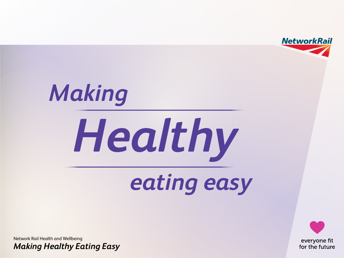

# *Making eating easy Healthy*

everyone fit for the future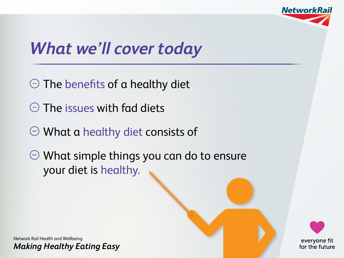

# *What we'll cover today*

- $\Theta$  The benefits of a healthy diet
- $\odot$  The issues with fad diets
- $\Theta$  What a healthy diet consists of
- $\Theta$  What simple things you can do to ensure your diet is healthy.



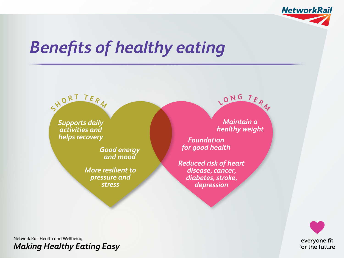

## *Benefits of healthy eating*

*activities and helps recovery*

**S <sup>H</sup> <sup>O</sup> <sup>R</sup> <sup>T</sup> <sup>T</sup> <sup>E</sup> <sup>R</sup> <sup>M</sup>**

*Good energy and mood*

*More resilient to pressure and stress*

*Maintain a healthy weight Supports daily* 

**<sup>O</sup> <sup>N</sup> <sup>G</sup> <sup>T</sup> <sup>E</sup> <sup>R</sup> <sup>M</sup>**

LONG

*Foundation for good health*

*Reduced risk of heart disease, cancer, diabetes, stroke, depression*

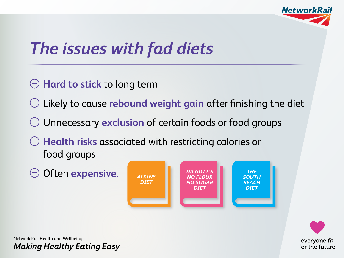

## *The issues with fad diets*

- **Hard to stick** to long term
- Likely to cause **rebound weight gain** after finishing the diet
- Unnecessary **exclusion** of certain foods or food groups
- **Health risks** associated with restricting calories or food groups
- Often **expensive.**



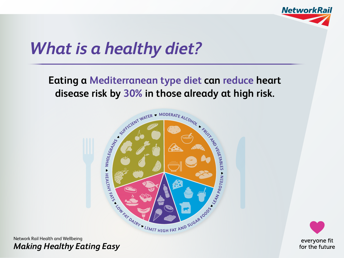

# *What is a healthy diet?*

#### **Eating a Mediterranean type diet can reduce heart disease risk by 30% in those already at high risk.**



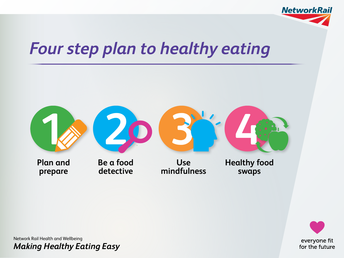



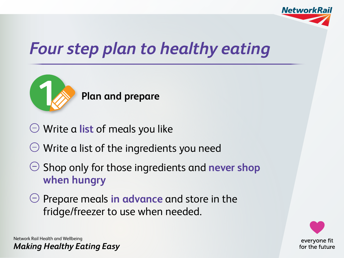



#### **Plan and prepare**

- Write a **list** of meals you like
- $\bigcirc$  Write a list of the ingredients you need
- Shop only for those ingredients and **never shop when hungry**
- $\Theta$  Prepare meals in advance and store in the fridge/freezer to use when needed.

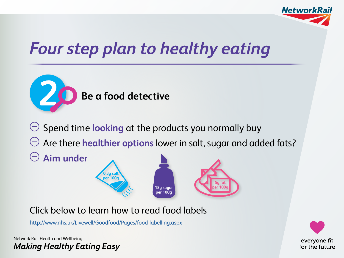



- $\bigcirc$  Spend time **looking** at the products you normally buy
- Are there **healthier options** lower in salt, sugar and added fats?
- **Aim under**



#### Click below to learn how to read food labels

http://www.nhs.uk/Livewell/Goodfood/Pages/food-labelling.aspx

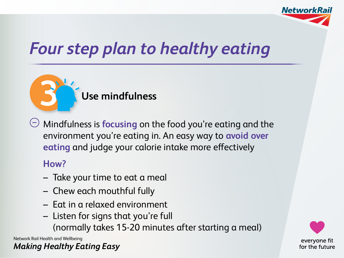

#### **Use mindfulness**

 Mindfulness is **focusing** on the food you're eating and the environment you're eating in. An easy way to **avoid over eating** and judge your calorie intake more effectively

#### **How?**

- Take your time to eat a meal
- Chew each mouthful fully
- Eat in a relaxed environment
- Listen for signs that you're full (normally takes 15-20 minutes after starting a meal)

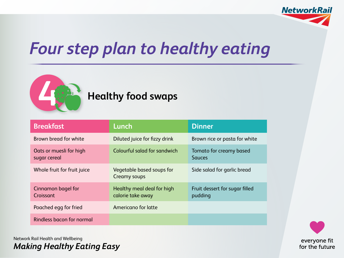



#### **Healthy food swaps**

| <b>Breakfast</b>                        | Lunch                                            | <b>Dinner</b>                             |
|-----------------------------------------|--------------------------------------------------|-------------------------------------------|
| Brown bread for white                   | Diluted juice for fizzy drink                    | Brown rice or pasta for white             |
| Oats or muesli for high<br>sugar cereal | Colourful salad for sandwich                     | Tomato for creamy based<br><b>Sauces</b>  |
| Whole fruit for fruit juice             | Vegetable based soups for<br><b>Creamy soups</b> | Side salad for garlic bread               |
| Cinnamon bagel for<br>Croissant         | Healthy meal deal for high<br>calorie take away  | Fruit dessert for sugar filled<br>pudding |
| Poached egg for fried                   | Americano for latte                              |                                           |
| Rindless bacon for normal               |                                                  |                                           |